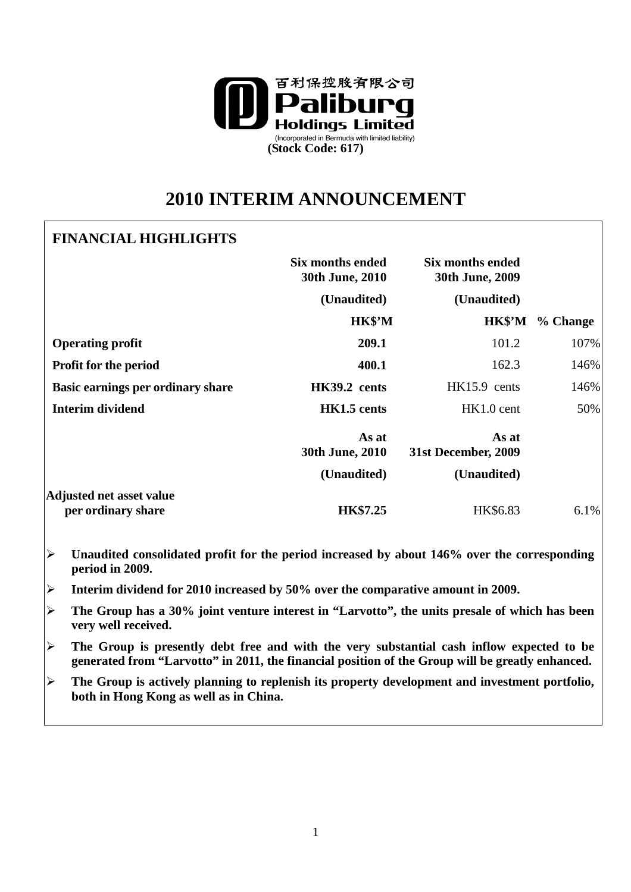

# **2010 INTERIM ANNOUNCEMENT**

# **FINANCIAL HIGHLIGHTS**

|                                                       | <b>Six months ended</b><br>30th June, 2010 | Six months ended<br>30th June, 2009 |          |
|-------------------------------------------------------|--------------------------------------------|-------------------------------------|----------|
|                                                       | (Unaudited)                                | (Unaudited)                         |          |
|                                                       | HK\$'M                                     | HK\$'M                              | % Change |
| <b>Operating profit</b>                               | 209.1                                      | 101.2                               | 107%     |
| <b>Profit for the period</b>                          | 400.1                                      | 162.3                               | 146%     |
| Basic earnings per ordinary share                     | HK39.2 cents                               | $HK15.9$ cents                      | 146%     |
| Interim dividend                                      | HK1.5 cents                                | $HK1.0$ cent                        | 50%      |
|                                                       | As at<br>30th June, 2010                   | As at<br>31st December, 2009        |          |
|                                                       | (Unaudited)                                | (Unaudited)                         |          |
| <b>Adjusted net asset value</b><br>per ordinary share | <b>HK\$7.25</b>                            | HK\$6.83                            | 6.1%     |

- **Unaudited consolidated profit for the period increased by about 146% over the corresponding period in 2009.**
- **Interim dividend for 2010 increased by 50% over the comparative amount in 2009.**
- **The Group has a 30% joint venture interest in "Larvotto", the units presale of which has been very well received.**
- **The Group is presently debt free and with the very substantial cash inflow expected to be generated from "Larvotto" in 2011, the financial position of the Group will be greatly enhanced.**
- **The Group is actively planning to replenish its property development and investment portfolio, both in Hong Kong as well as in China.**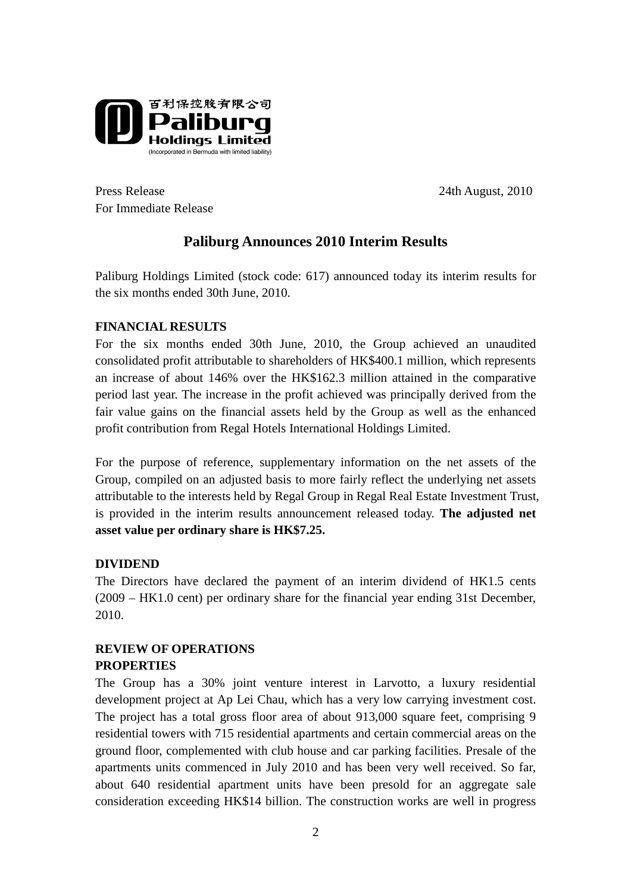

Press Release 24th August, 2010 For Immediate Release

# **Paliburg Announces 2010 Interim Results**

Paliburg Holdings Limited (stock code: 617) announced today its interim results for the six months ended 30th June, 2010.

### **FINANCIAL RESULTS**

For the six months ended 30th June, 2010, the Group achieved an unaudited consolidated profit attributable to shareholders of HK\$400.1 million, which represents an increase of about 146% over the HK\$162.3 million attained in the comparative period last year. The increase in the profit achieved was principally derived from the fair value gains on the financial assets held by the Group as well as the enhanced profit contribution from Regal Hotels International Holdings Limited.

For the purpose of reference, supplementary information on the net assets of the Group, compiled on an adjusted basis to more fairly reflect the underlying net assets attributable to the interests held by Regal Group in Regal Real Estate Investment Trust, is provided in the interim results announcement released today. **The adjusted net asset value per ordinary share is HK\$7.25.** 

## **DIVIDEND**

The Directors have declared the payment of an interim dividend of HK1.5 cents (2009 – HK1.0 cent) per ordinary share for the financial year ending 31st December, 2010.

## **REVIEW OF OPERATIONS**

#### **PROPERTIES**

The Group has a 30% joint venture interest in Larvotto, a luxury residential development project at Ap Lei Chau, which has a very low carrying investment cost. The project has a total gross floor area of about 913,000 square feet, comprising 9 residential towers with 715 residential apartments and certain commercial areas on the ground floor, complemented with club house and car parking facilities. Presale of the apartments units commenced in July 2010 and has been very well received. So far, about 640 residential apartment units have been presold for an aggregate sale consideration exceeding HK\$14 billion. The construction works are well in progress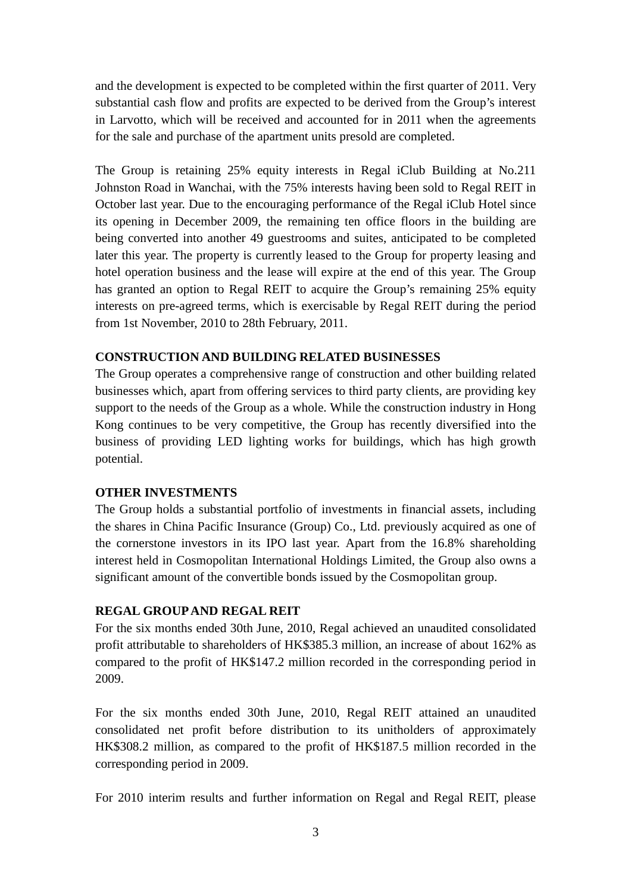and the development is expected to be completed within the first quarter of 2011. Very substantial cash flow and profits are expected to be derived from the Group's interest in Larvotto, which will be received and accounted for in 2011 when the agreements for the sale and purchase of the apartment units presold are completed.

The Group is retaining 25% equity interests in Regal iClub Building at No.211 Johnston Road in Wanchai, with the 75% interests having been sold to Regal REIT in October last year. Due to the encouraging performance of the Regal iClub Hotel since its opening in December 2009, the remaining ten office floors in the building are being converted into another 49 guestrooms and suites, anticipated to be completed later this year. The property is currently leased to the Group for property leasing and hotel operation business and the lease will expire at the end of this year. The Group has granted an option to Regal REIT to acquire the Group's remaining 25% equity interests on pre-agreed terms, which is exercisable by Regal REIT during the period from 1st November, 2010 to 28th February, 2011.

#### **CONSTRUCTION AND BUILDING RELATED BUSINESSES**

The Group operates a comprehensive range of construction and other building related businesses which, apart from offering services to third party clients, are providing key support to the needs of the Group as a whole. While the construction industry in Hong Kong continues to be very competitive, the Group has recently diversified into the business of providing LED lighting works for buildings, which has high growth potential.

#### **OTHER INVESTMENTS**

The Group holds a substantial portfolio of investments in financial assets, including the shares in China Pacific Insurance (Group) Co., Ltd. previously acquired as one of the cornerstone investors in its IPO last year. Apart from the 16.8% shareholding interest held in Cosmopolitan International Holdings Limited, the Group also owns a significant amount of the convertible bonds issued by the Cosmopolitan group.

#### **REGAL GROUP AND REGAL REIT**

For the six months ended 30th June, 2010, Regal achieved an unaudited consolidated profit attributable to shareholders of HK\$385.3 million, an increase of about 162% as compared to the profit of HK\$147.2 million recorded in the corresponding period in 2009.

For the six months ended 30th June, 2010, Regal REIT attained an unaudited consolidated net profit before distribution to its unitholders of approximately HK\$308.2 million, as compared to the profit of HK\$187.5 million recorded in the corresponding period in 2009.

For 2010 interim results and further information on Regal and Regal REIT, please